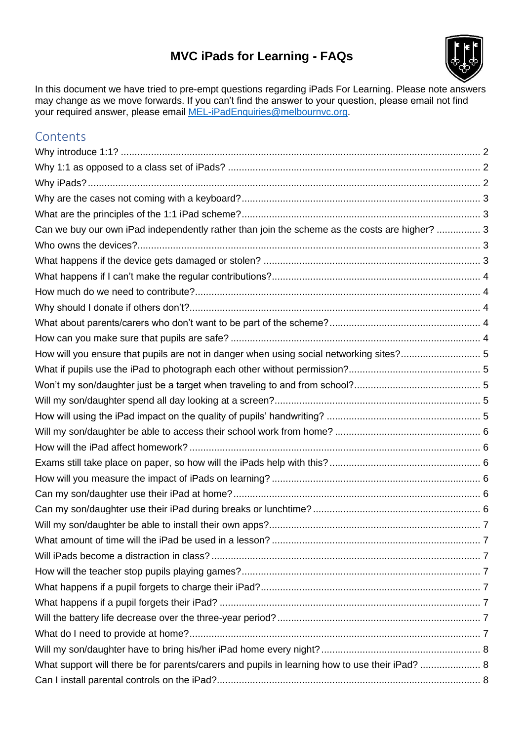#### **MVC iPads for Learning - FAQs**



<span id="page-0-0"></span>In this document we have tried to pre-empt questions regarding iPads For Learning. Please note answers may change as we move forwards. If you can't find the answer to your question, please email not find your required answer, please email **MEL-iPadEnquiries@melbournvc.org**.

#### **Contents**

| Can we buy our own iPad independently rather than join the scheme as the costs are higher?  3  |  |
|------------------------------------------------------------------------------------------------|--|
|                                                                                                |  |
|                                                                                                |  |
|                                                                                                |  |
|                                                                                                |  |
|                                                                                                |  |
|                                                                                                |  |
|                                                                                                |  |
| How will you ensure that pupils are not in danger when using social networking sites? 5        |  |
|                                                                                                |  |
|                                                                                                |  |
|                                                                                                |  |
|                                                                                                |  |
|                                                                                                |  |
|                                                                                                |  |
|                                                                                                |  |
|                                                                                                |  |
|                                                                                                |  |
|                                                                                                |  |
|                                                                                                |  |
|                                                                                                |  |
|                                                                                                |  |
|                                                                                                |  |
|                                                                                                |  |
|                                                                                                |  |
|                                                                                                |  |
|                                                                                                |  |
|                                                                                                |  |
| What support will there be for parents/carers and pupils in learning how to use their iPad?  8 |  |
|                                                                                                |  |
|                                                                                                |  |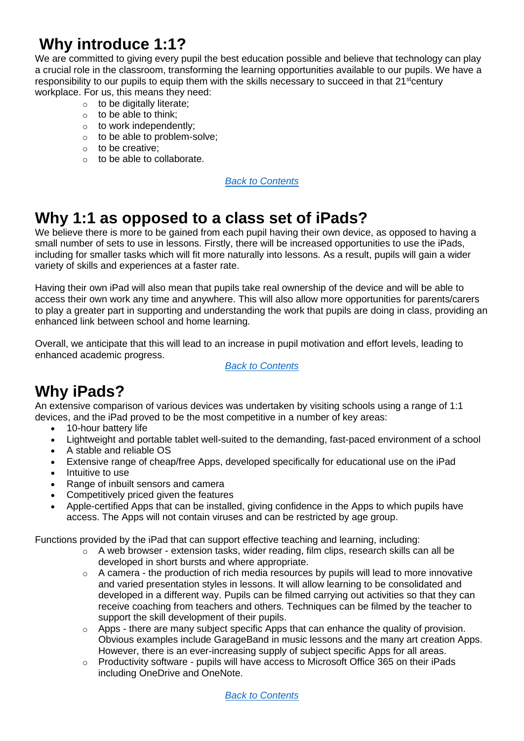# <span id="page-1-0"></span>**Why introduce 1:1?**

We are committed to giving every pupil the best education possible and believe that technology can play a crucial role in the classroom, transforming the learning opportunities available to our pupils. We have a responsibility to our pupils to equip them with the skills necessary to succeed in that  $21^{\text{st}}$ century workplace. For us, this means they need:

- $\circ$  to be digitally literate:
- $\circ$  to be able to think;
- $\circ$  to work independently;
- o to be able to problem-solve;
- o to be creative;
- o to be able to collaborate.

*[Back to Contents](#page-0-0)*

#### <span id="page-1-1"></span>**Why 1:1 as opposed to a class set of iPads?**

We believe there is more to be gained from each pupil having their own device, as opposed to having a small number of sets to use in lessons. Firstly, there will be increased opportunities to use the iPads, including for smaller tasks which will fit more naturally into lessons. As a result, pupils will gain a wider variety of skills and experiences at a faster rate.

Having their own iPad will also mean that pupils take real ownership of the device and will be able to access their own work any time and anywhere. This will also allow more opportunities for parents/carers to play a greater part in supporting and understanding the work that pupils are doing in class, providing an enhanced link between school and home learning.

Overall, we anticipate that this will lead to an increase in pupil motivation and effort levels, leading to enhanced academic progress.

*[Back to Contents](#page-0-0)*

# <span id="page-1-2"></span>**Why iPads?**

An extensive comparison of various devices was undertaken by visiting schools using a range of 1:1 devices, and the iPad proved to be the most competitive in a number of key areas:

- 10-hour battery life
- Lightweight and portable tablet well-suited to the demanding, fast-paced environment of a school
- A stable and reliable OS
- Extensive range of cheap/free Apps, developed specifically for educational use on the iPad
- **Intuitive to use**
- Range of inbuilt sensors and camera
- Competitively priced given the features
- Apple-certified Apps that can be installed, giving confidence in the Apps to which pupils have access. The Apps will not contain viruses and can be restricted by age group.

Functions provided by the iPad that can support effective teaching and learning, including:

- $\circ$  A web browser extension tasks, wider reading, film clips, research skills can all be developed in short bursts and where appropriate.
- o A camera the production of rich media resources by pupils will lead to more innovative and varied presentation styles in lessons. It will allow learning to be consolidated and developed in a different way. Pupils can be filmed carrying out activities so that they can receive coaching from teachers and others. Techniques can be filmed by the teacher to support the skill development of their pupils.
- $\circ$  Apps there are many subject specific Apps that can enhance the quality of provision. Obvious examples include GarageBand in music lessons and the many art creation Apps. However, there is an ever-increasing supply of subject specific Apps for all areas.
- o Productivity software pupils will have access to Microsoft Office 365 on their iPads including OneDrive and OneNote.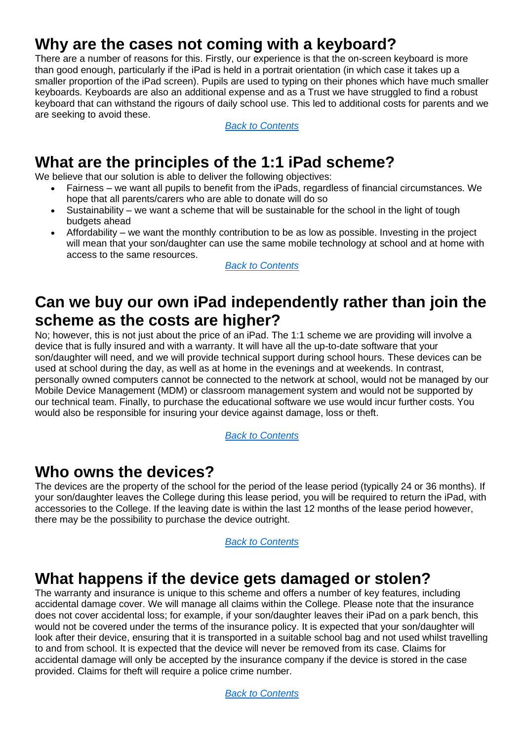# <span id="page-2-0"></span>**Why are the cases not coming with a keyboard?**

There are a number of reasons for this. Firstly, our experience is that the on-screen keyboard is more than good enough, particularly if the iPad is held in a portrait orientation (in which case it takes up a smaller proportion of the iPad screen). Pupils are used to typing on their phones which have much smaller keyboards. Keyboards are also an additional expense and as a Trust we have struggled to find a robust keyboard that can withstand the rigours of daily school use. This led to additional costs for parents and we are seeking to avoid these.

*[Back to Contents](#page-0-0)*

# <span id="page-2-1"></span>**What are the principles of the 1:1 iPad scheme?**

We believe that our solution is able to deliver the following objectives:

- Fairness we want all pupils to benefit from the iPads, regardless of financial circumstances. We hope that all parents/carers who are able to donate will do so
- Sustainability we want a scheme that will be sustainable for the school in the light of tough budgets ahead
- Affordability we want the monthly contribution to be as low as possible. Investing in the project will mean that your son/daughter can use the same mobile technology at school and at home with access to the same resources.

*[Back to Contents](#page-0-0)*

## <span id="page-2-2"></span>**Can we buy our own iPad independently rather than join the scheme as the costs are higher?**

No; however, this is not just about the price of an iPad. The 1:1 scheme we are providing will involve a device that is fully insured and with a warranty. It will have all the up-to-date software that your son/daughter will need, and we will provide technical support during school hours. These devices can be used at school during the day, as well as at home in the evenings and at weekends. In contrast, personally owned computers cannot be connected to the network at school, would not be managed by our Mobile Device Management (MDM) or classroom management system and would not be supported by our technical team. Finally, to purchase the educational software we use would incur further costs. You would also be responsible for insuring your device against damage, loss or theft.

*[Back to Contents](#page-0-0)*

#### <span id="page-2-3"></span>**Who owns the devices?**

The devices are the property of the school for the period of the lease period (typically 24 or 36 months). If your son/daughter leaves the College during this lease period, you will be required to return the iPad, with accessories to the College. If the leaving date is within the last 12 months of the lease period however, there may be the possibility to purchase the device outright.

#### *[Back to Contents](#page-0-0)*

#### <span id="page-2-4"></span>**What happens if the device gets damaged or stolen?**

The warranty and insurance is unique to this scheme and offers a number of key features, including accidental damage cover. We will manage all claims within the College. Please note that the insurance does not cover accidental loss; for example, if your son/daughter leaves their iPad on a park bench, this would not be covered under the terms of the insurance policy. It is expected that your son/daughter will look after their device, ensuring that it is transported in a suitable school bag and not used whilst travelling to and from school. It is expected that the device will never be removed from its case. Claims for accidental damage will only be accepted by the insurance company if the device is stored in the case provided. Claims for theft will require a police crime number.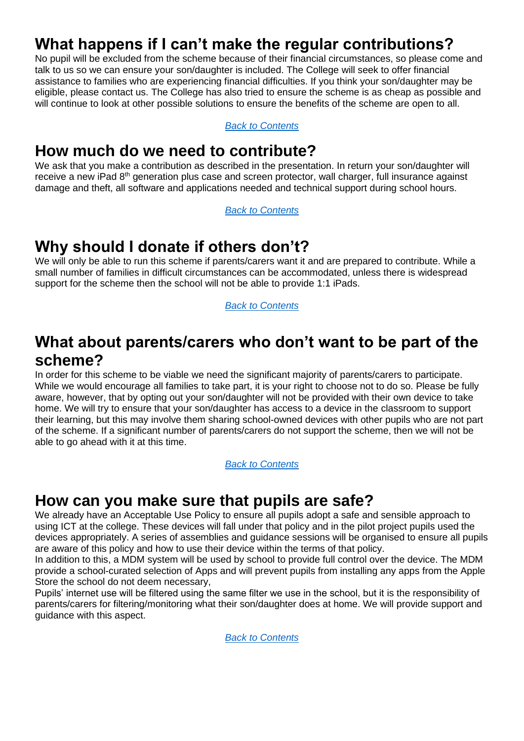# <span id="page-3-0"></span>**What happens if I can't make the regular contributions?**

No pupil will be excluded from the scheme because of their financial circumstances, so please come and talk to us so we can ensure your son/daughter is included. The College will seek to offer financial assistance to families who are experiencing financial difficulties. If you think your son/daughter may be eligible, please contact us. The College has also tried to ensure the scheme is as cheap as possible and will continue to look at other possible solutions to ensure the benefits of the scheme are open to all.

*[Back to Contents](#page-0-0)*

#### <span id="page-3-1"></span>**How much do we need to contribute?**

We ask that you make a contribution as described in the presentation. In return your son/daughter will receive a new iPad 8<sup>th</sup> generation plus case and screen protector, wall charger, full insurance against damage and theft, all software and applications needed and technical support during school hours.

*[Back to Contents](#page-0-0)*

#### <span id="page-3-2"></span>**Why should I donate if others don't?**

We will only be able to run this scheme if parents/carers want it and are prepared to contribute. While a small number of families in difficult circumstances can be accommodated, unless there is widespread support for the scheme then the school will not be able to provide 1:1 iPads.

*[Back to Contents](#page-0-0)*

# <span id="page-3-3"></span>**What about parents/carers who don't want to be part of the scheme?**

In order for this scheme to be viable we need the significant majority of parents/carers to participate. While we would encourage all families to take part, it is your right to choose not to do so. Please be fully aware, however, that by opting out your son/daughter will not be provided with their own device to take home. We will try to ensure that your son/daughter has access to a device in the classroom to support their learning, but this may involve them sharing school-owned devices with other pupils who are not part of the scheme. If a significant number of parents/carers do not support the scheme, then we will not be able to go ahead with it at this time.

*[Back to Contents](#page-0-0)*

#### <span id="page-3-4"></span>**How can you make sure that pupils are safe?**

We already have an Acceptable Use Policy to ensure all pupils adopt a safe and sensible approach to using ICT at the college. These devices will fall under that policy and in the pilot project pupils used the devices appropriately. A series of assemblies and guidance sessions will be organised to ensure all pupils are aware of this policy and how to use their device within the terms of that policy.

In addition to this, a MDM system will be used by school to provide full control over the device. The MDM provide a school-curated selection of Apps and will prevent pupils from installing any apps from the Apple Store the school do not deem necessary,

Pupils' internet use will be filtered using the same filter we use in the school, but it is the responsibility of parents/carers for filtering/monitoring what their son/daughter does at home. We will provide support and guidance with this aspect.

*[Back to Contents](#page-0-0)*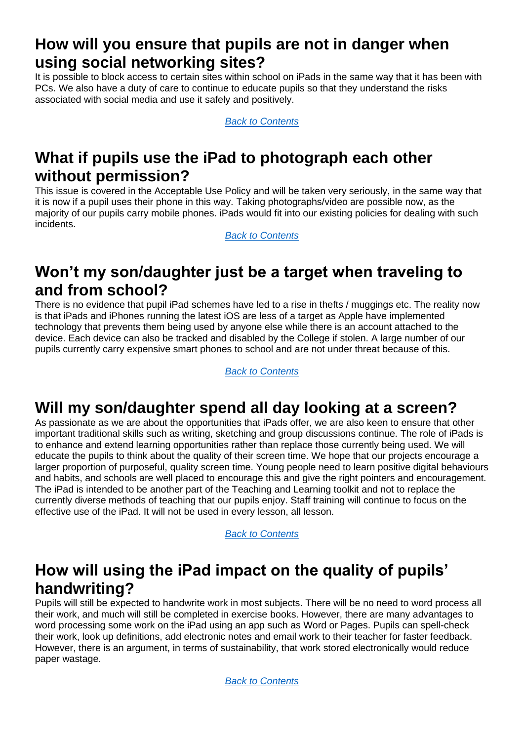# <span id="page-4-0"></span>**How will you ensure that pupils are not in danger when using social networking sites?**

It is possible to block access to certain sites within school on iPads in the same way that it has been with PCs. We also have a duty of care to continue to educate pupils so that they understand the risks associated with social media and use it safely and positively.

*[Back to Contents](#page-0-0)*

# <span id="page-4-1"></span>**What if pupils use the iPad to photograph each other without permission?**

This issue is covered in the Acceptable Use Policy and will be taken very seriously, in the same way that it is now if a pupil uses their phone in this way. Taking photographs/video are possible now, as the majority of our pupils carry mobile phones. iPads would fit into our existing policies for dealing with such incidents.

*[Back to Contents](#page-0-0)*

## <span id="page-4-2"></span>**Won't my son/daughter just be a target when traveling to and from school?**

There is no evidence that pupil iPad schemes have led to a rise in thefts / muggings etc. The reality now is that iPads and iPhones running the latest iOS are less of a target as Apple have implemented technology that prevents them being used by anyone else while there is an account attached to the device. Each device can also be tracked and disabled by the College if stolen. A large number of our pupils currently carry expensive smart phones to school and are not under threat because of this.

*[Back to Contents](#page-0-0)*

# <span id="page-4-3"></span>**Will my son/daughter spend all day looking at a screen?**

As passionate as we are about the opportunities that iPads offer, we are also keen to ensure that other important traditional skills such as writing, sketching and group discussions continue. The role of iPads is to enhance and extend learning opportunities rather than replace those currently being used. We will educate the pupils to think about the quality of their screen time. We hope that our projects encourage a larger proportion of purposeful, quality screen time. Young people need to learn positive digital behaviours and habits, and schools are well placed to encourage this and give the right pointers and encouragement. The iPad is intended to be another part of the Teaching and Learning toolkit and not to replace the currently diverse methods of teaching that our pupils enjoy. Staff training will continue to focus on the effective use of the iPad. It will not be used in every lesson, all lesson.

*[Back to Contents](#page-0-0)*

# <span id="page-4-4"></span>**How will using the iPad impact on the quality of pupils' handwriting?**

Pupils will still be expected to handwrite work in most subjects. There will be no need to word process all their work, and much will still be completed in exercise books. However, there are many advantages to word processing some work on the iPad using an app such as Word or Pages. Pupils can spell-check their work, look up definitions, add electronic notes and email work to their teacher for faster feedback. However, there is an argument, in terms of sustainability, that work stored electronically would reduce paper wastage.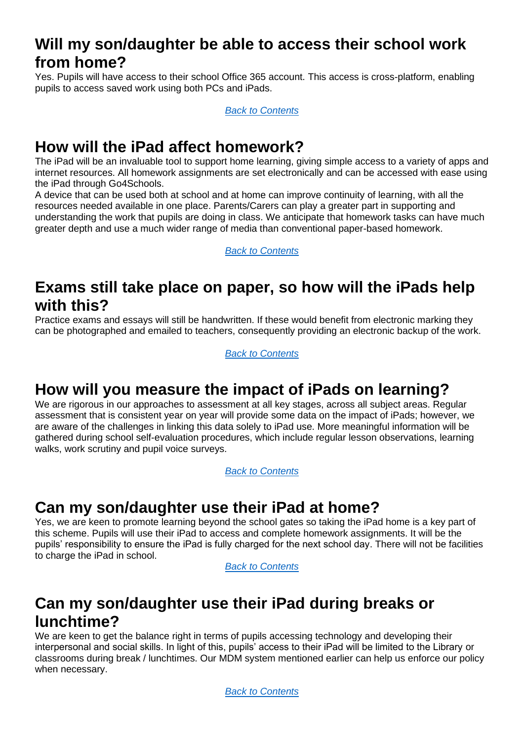# <span id="page-5-0"></span>**Will my son/daughter be able to access their school work from home?**

Yes. Pupils will have access to their school Office 365 account. This access is cross-platform, enabling pupils to access saved work using both PCs and iPads.

*[Back to Contents](#page-0-0)*

# <span id="page-5-1"></span>**How will the iPad affect homework?**

The iPad will be an invaluable tool to support home learning, giving simple access to a variety of apps and internet resources. All homework assignments are set electronically and can be accessed with ease using the iPad through Go4Schools.

A device that can be used both at school and at home can improve continuity of learning, with all the resources needed available in one place. Parents/Carers can play a greater part in supporting and understanding the work that pupils are doing in class. We anticipate that homework tasks can have much greater depth and use a much wider range of media than conventional paper-based homework.

*[Back to Contents](#page-0-0)*

#### <span id="page-5-2"></span>**Exams still take place on paper, so how will the iPads help with this?**

Practice exams and essays will still be handwritten. If these would benefit from electronic marking they can be photographed and emailed to teachers, consequently providing an electronic backup of the work.

*[Back to Contents](#page-0-0)*

#### <span id="page-5-3"></span>**How will you measure the impact of iPads on learning?**

We are rigorous in our approaches to assessment at all key stages, across all subject areas. Regular assessment that is consistent year on year will provide some data on the impact of iPads; however, we are aware of the challenges in linking this data solely to iPad use. More meaningful information will be gathered during school self-evaluation procedures, which include regular lesson observations, learning walks, work scrutiny and pupil voice surveys.

*[Back to Contents](#page-0-0)*

#### <span id="page-5-4"></span>**Can my son/daughter use their iPad at home?**

Yes, we are keen to promote learning beyond the school gates so taking the iPad home is a key part of this scheme. Pupils will use their iPad to access and complete homework assignments. It will be the pupils' responsibility to ensure the iPad is fully charged for the next school day. There will not be facilities to charge the iPad in school.

*[Back to Contents](#page-0-0)*

# <span id="page-5-5"></span>**Can my son/daughter use their iPad during breaks or lunchtime?**

We are keen to get the balance right in terms of pupils accessing technology and developing their interpersonal and social skills. In light of this, pupils' access to their iPad will be limited to the Library or classrooms during break / lunchtimes. Our MDM system mentioned earlier can help us enforce our policy when necessary.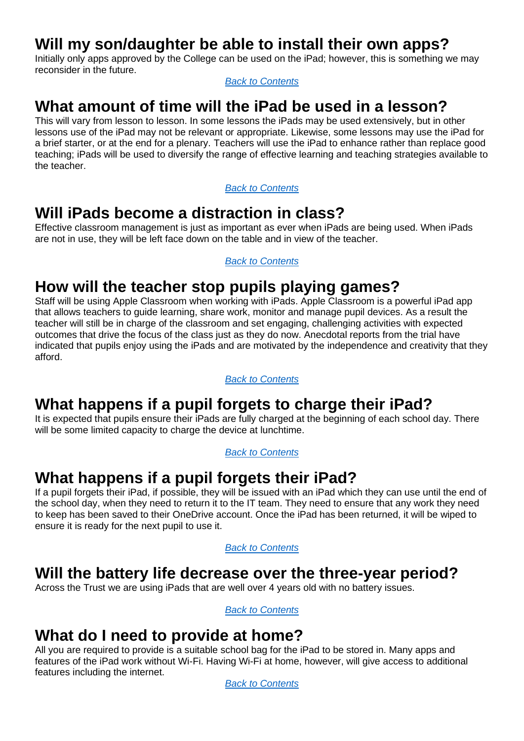## <span id="page-6-0"></span>**Will my son/daughter be able to install their own apps?**

Initially only apps approved by the College can be used on the iPad; however, this is something we may reconsider in the future.

*[Back to Contents](#page-0-0)*

# <span id="page-6-1"></span>**What amount of time will the iPad be used in a lesson?**

This will vary from lesson to lesson. In some lessons the iPads may be used extensively, but in other lessons use of the iPad may not be relevant or appropriate. Likewise, some lessons may use the iPad for a brief starter, or at the end for a plenary. Teachers will use the iPad to enhance rather than replace good teaching; iPads will be used to diversify the range of effective learning and teaching strategies available to the teacher.

*[Back to Contents](#page-0-0)*

# <span id="page-6-2"></span>**Will iPads become a distraction in class?**

Effective classroom management is just as important as ever when iPads are being used. When iPads are not in use, they will be left face down on the table and in view of the teacher.

*[Back to Contents](#page-0-0)*

# <span id="page-6-3"></span>**How will the teacher stop pupils playing games?**

Staff will be using Apple Classroom when working with iPads. Apple Classroom is a powerful iPad app that allows teachers to guide learning, share work, monitor and manage pupil devices. As a result the teacher will still be in charge of the classroom and set engaging, challenging activities with expected outcomes that drive the focus of the class just as they do now. Anecdotal reports from the trial have indicated that pupils enjoy using the iPads and are motivated by the independence and creativity that they afford.

*[Back to Contents](#page-0-0)*

# <span id="page-6-4"></span>**What happens if a pupil forgets to charge their iPad?**

It is expected that pupils ensure their iPads are fully charged at the beginning of each school day. There will be some limited capacity to charge the device at lunchtime.

*[Back to Contents](#page-0-0)*

# <span id="page-6-5"></span>**What happens if a pupil forgets their iPad?**

If a pupil forgets their iPad, if possible, they will be issued with an iPad which they can use until the end of the school day, when they need to return it to the IT team. They need to ensure that any work they need to keep has been saved to their OneDrive account. Once the iPad has been returned, it will be wiped to ensure it is ready for the next pupil to use it.

*[Back to Contents](#page-0-0)*

#### <span id="page-6-6"></span>**Will the battery life decrease over the three-year period?**

Across the Trust we are using iPads that are well over 4 years old with no battery issues.

*[Back to Contents](#page-0-0)*

#### <span id="page-6-7"></span>**What do I need to provide at home?**

All you are required to provide is a suitable school bag for the iPad to be stored in. Many apps and features of the iPad work without Wi-Fi. Having Wi-Fi at home, however, will give access to additional features including the internet.

*[Back to Contents](#page-0-0)*